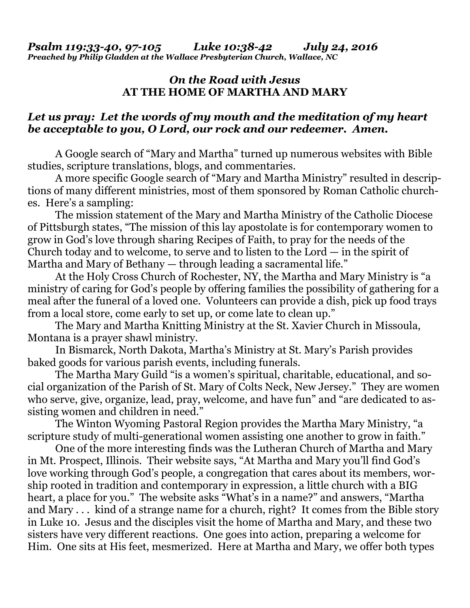## *On the Road with Jesus*  **AT THE HOME OF MARTHA AND MARY**

## *Let us pray: Let the words of my mouth and the meditation of my heart be acceptable to you, O Lord, our rock and our redeemer. Amen.*

A Google search of "Mary and Martha" turned up numerous websites with Bible studies, scripture translations, blogs, and commentaries.

 A more specific Google search of "Mary and Martha Ministry" resulted in descriptions of many different ministries, most of them sponsored by Roman Catholic churches. Here's a sampling:

 The mission statement of the Mary and Martha Ministry of the Catholic Diocese of Pittsburgh states, "The mission of this lay apostolate is for contemporary women to grow in God's love through sharing Recipes of Faith, to pray for the needs of the Church today and to welcome, to serve and to listen to the Lord — in the spirit of Martha and Mary of Bethany — through leading a sacramental life."

 At the Holy Cross Church of Rochester, NY, the Martha and Mary Ministry is "a ministry of caring for God's people by offering families the possibility of gathering for a meal after the funeral of a loved one. Volunteers can provide a dish, pick up food trays from a local store, come early to set up, or come late to clean up."

 The Mary and Martha Knitting Ministry at the St. Xavier Church in Missoula, Montana is a prayer shawl ministry.

 In Bismarck, North Dakota, Martha's Ministry at St. Mary's Parish provides baked goods for various parish events, including funerals.

 The Martha Mary Guild "is a women's spiritual, charitable, educational, and social organization of the Parish of St. Mary of Colts Neck, New Jersey." They are women who serve, give, organize, lead, pray, welcome, and have fun" and "are dedicated to assisting women and children in need."

 The Winton Wyoming Pastoral Region provides the Martha Mary Ministry, "a scripture study of multi-generational women assisting one another to grow in faith."

 One of the more interesting finds was the Lutheran Church of Martha and Mary in Mt. Prospect, Illinois. Their website says, "At Martha and Mary you'll find God's love working through God's people, a congregation that cares about its members, worship rooted in tradition and contemporary in expression, a little church with a BIG heart, a place for you." The website asks "What's in a name?" and answers, "Martha and Mary . . . kind of a strange name for a church, right? It comes from the Bible story in Luke 10. Jesus and the disciples visit the home of Martha and Mary, and these two sisters have very different reactions. One goes into action, preparing a welcome for Him. One sits at His feet, mesmerized. Here at Martha and Mary, we offer both types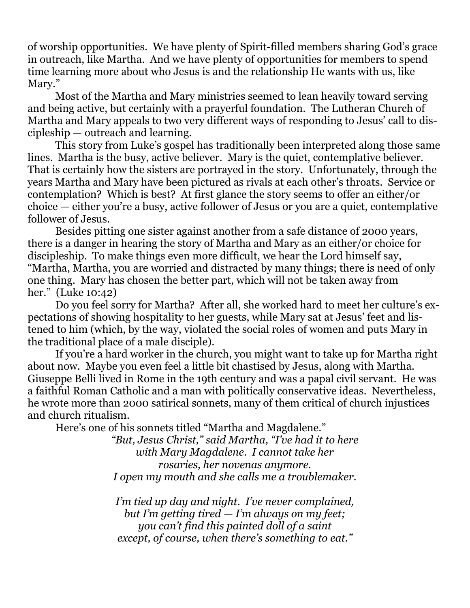of worship opportunities. We have plenty of Spirit-filled members sharing God's grace in outreach, like Martha. And we have plenty of opportunities for members to spend time learning more about who Jesus is and the relationship He wants with us, like Mary."

 Most of the Martha and Mary ministries seemed to lean heavily toward serving and being active, but certainly with a prayerful foundation. The Lutheran Church of Martha and Mary appeals to two very different ways of responding to Jesus' call to discipleship — outreach and learning.

 This story from Luke's gospel has traditionally been interpreted along those same lines. Martha is the busy, active believer. Mary is the quiet, contemplative believer. That is certainly how the sisters are portrayed in the story. Unfortunately, through the years Martha and Mary have been pictured as rivals at each other's throats. Service or contemplation? Which is best? At first glance the story seems to offer an either/or choice — either you're a busy, active follower of Jesus or you are a quiet, contemplative follower of Jesus.

 Besides pitting one sister against another from a safe distance of 2000 years, there is a danger in hearing the story of Martha and Mary as an either/or choice for discipleship. To make things even more difficult, we hear the Lord himself say, "Martha, Martha, you are worried and distracted by many things; there is need of only one thing. Mary has chosen the better part, which will not be taken away from her." (Luke 10:42)

 Do you feel sorry for Martha? After all, she worked hard to meet her culture's expectations of showing hospitality to her guests, while Mary sat at Jesus' feet and listened to him (which, by the way, violated the social roles of women and puts Mary in the traditional place of a male disciple).

 If you're a hard worker in the church, you might want to take up for Martha right about now. Maybe you even feel a little bit chastised by Jesus, along with Martha. Giuseppe Belli lived in Rome in the 19th century and was a papal civil servant. He was a faithful Roman Catholic and a man with politically conservative ideas. Nevertheless, he wrote more than 2000 satirical sonnets, many of them critical of church injustices and church ritualism.

Here's one of his sonnets titled "Martha and Magdalene."

*"But, Jesus Christ," said Martha, "I've had it to here with Mary Magdalene. I cannot take her rosaries, her novenas anymore. I open my mouth and she calls me a troublemaker.* 

*I'm tied up day and night. I've never complained, but I'm getting tired — I'm always on my feet; you can't find this painted doll of a saint except, of course, when there's something to eat."*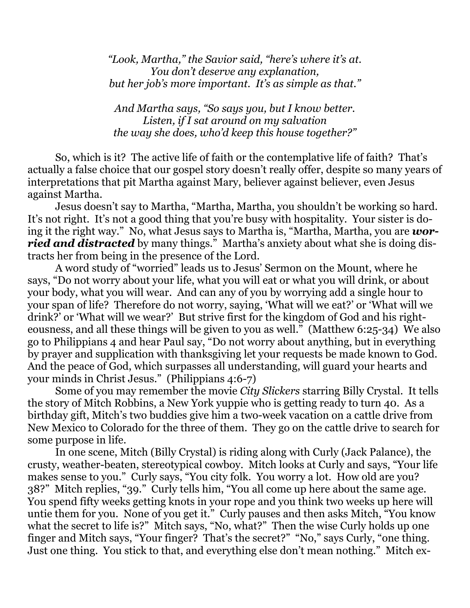*"Look, Martha," the Savior said, "here's where it's at. You don't deserve any explanation, but her job's more important. It's as simple as that."*

*And Martha says, "So says you, but I know better. Listen, if I sat around on my salvation the way she does, who'd keep this house together?"* 

So, which is it? The active life of faith or the contemplative life of faith? That's actually a false choice that our gospel story doesn't really offer, despite so many years of interpretations that pit Martha against Mary, believer against believer, even Jesus against Martha.

 Jesus doesn't say to Martha, "Martha, Martha, you shouldn't be working so hard. It's not right. It's not a good thing that you're busy with hospitality. Your sister is doing it the right way." No, what Jesus says to Martha is, "Martha, Martha, you are *worried and distracted* by many things." Martha's anxiety about what she is doing distracts her from being in the presence of the Lord.

 A word study of "worried" leads us to Jesus' Sermon on the Mount, where he says, "Do not worry about your life, what you will eat or what you will drink, or about your body, what you will wear. And can any of you by worrying add a single hour to your span of life? Therefore do not worry, saying, 'What will we eat?' or 'What will we drink?' or 'What will we wear?' But strive first for the kingdom of God and his righteousness, and all these things will be given to you as well." (Matthew 6:25-34) We also go to Philippians 4 and hear Paul say, "Do not worry about anything, but in everything by prayer and supplication with thanksgiving let your requests be made known to God. And the peace of God, which surpasses all understanding, will guard your hearts and your minds in Christ Jesus." (Philippians 4:6-7)

 Some of you may remember the movie *City Slickers* starring Billy Crystal. It tells the story of Mitch Robbins, a New York yuppie who is getting ready to turn 40. As a birthday gift, Mitch's two buddies give him a two-week vacation on a cattle drive from New Mexico to Colorado for the three of them. They go on the cattle drive to search for some purpose in life.

 In one scene, Mitch (Billy Crystal) is riding along with Curly (Jack Palance), the crusty, weather-beaten, stereotypical cowboy. Mitch looks at Curly and says, "Your life makes sense to you." Curly says, "You city folk. You worry a lot. How old are you? 38?" Mitch replies, "39." Curly tells him, "You all come up here about the same age. You spend fifty weeks getting knots in your rope and you think two weeks up here will untie them for you. None of you get it." Curly pauses and then asks Mitch, "You know what the secret to life is?" Mitch says, "No, what?" Then the wise Curly holds up one finger and Mitch says, "Your finger? That's the secret?" "No," says Curly, "one thing. Just one thing. You stick to that, and everything else don't mean nothing." Mitch ex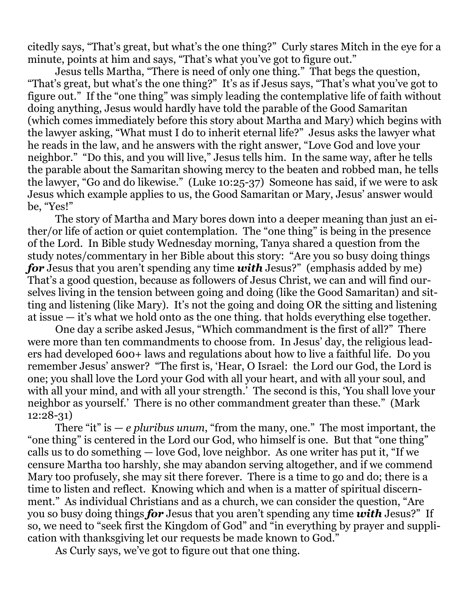citedly says, "That's great, but what's the one thing?" Curly stares Mitch in the eye for a minute, points at him and says, "That's what you've got to figure out."

 Jesus tells Martha, "There is need of only one thing." That begs the question, "That's great, but what's the one thing?" It's as if Jesus says, "That's what you've got to figure out." If the "one thing" was simply leading the contemplative life of faith without doing anything, Jesus would hardly have told the parable of the Good Samaritan (which comes immediately before this story about Martha and Mary) which begins with the lawyer asking, "What must I do to inherit eternal life?" Jesus asks the lawyer what he reads in the law, and he answers with the right answer, "Love God and love your neighbor." "Do this, and you will live," Jesus tells him. In the same way, after he tells the parable about the Samaritan showing mercy to the beaten and robbed man, he tells the lawyer, "Go and do likewise." (Luke 10:25-37) Someone has said, if we were to ask Jesus which example applies to us, the Good Samaritan or Mary, Jesus' answer would be, "Yes!"

 The story of Martha and Mary bores down into a deeper meaning than just an either/or life of action or quiet contemplation. The "one thing" is being in the presence of the Lord. In Bible study Wednesday morning, Tanya shared a question from the study notes/commentary in her Bible about this story: "Are you so busy doing things *for* Jesus that you aren't spending any time *with* Jesus?" (emphasis added by me) That's a good question, because as followers of Jesus Christ, we can and will find ourselves living in the tension between going and doing (like the Good Samaritan) and sitting and listening (like Mary). It's not the going and doing OR the sitting and listening at issue — it's what we hold onto as the one thing. that holds everything else together.

 One day a scribe asked Jesus, "Which commandment is the first of all?" There were more than ten commandments to choose from. In Jesus' day, the religious leaders had developed 600+ laws and regulations about how to live a faithful life. Do you remember Jesus' answer? "The first is, 'Hear, O Israel: the Lord our God, the Lord is one; you shall love the Lord your God with all your heart, and with all your soul, and with all your mind, and with all your strength.' The second is this, 'You shall love your neighbor as yourself.' There is no other commandment greater than these." (Mark 12:28-31)

 There "it" is — *e pluribus unum*, "from the many, one." The most important, the "one thing" is centered in the Lord our God, who himself is one. But that "one thing" calls us to do something — love God, love neighbor. As one writer has put it, "If we censure Martha too harshly, she may abandon serving altogether, and if we commend Mary too profusely, she may sit there forever. There is a time to go and do; there is a time to listen and reflect. Knowing which and when is a matter of spiritual discernment." As individual Christians and as a church, we can consider the question, "Are you so busy doing things *for* Jesus that you aren't spending any time *with* Jesus?" If so, we need to "seek first the Kingdom of God" and "in everything by prayer and supplication with thanksgiving let our requests be made known to God."

As Curly says, we've got to figure out that one thing.